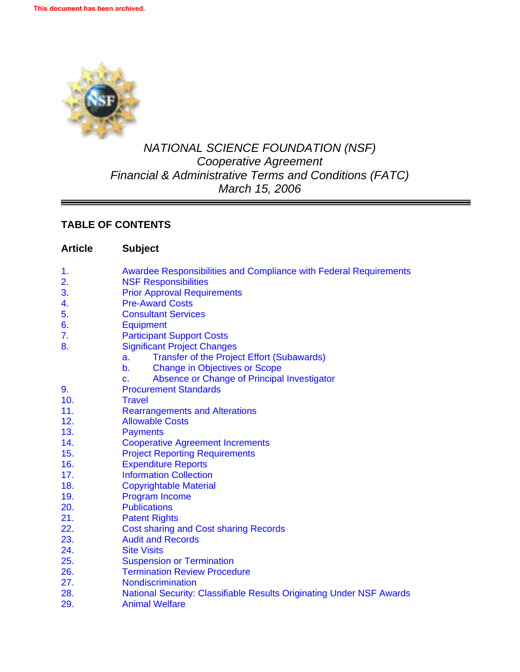

# *NATIONAL SCIENCE FOUNDATION (NSF) Cooperative Agreement Financial & Administrative Terms and Conditions (FATC) March 15, 2006*

═

# **TABLE OF CONTENTS**

| <b>Article</b> | <b>Subject</b>                                                           |
|----------------|--------------------------------------------------------------------------|
| 1.             | <b>Awardee Responsibilities and Compliance with Federal Requirements</b> |
| 2.             | <b>NSF Responsibilities</b>                                              |
| 3.             | <b>Prior Approval Requirements</b>                                       |
| 4.             | <b>Pre-Award Costs</b>                                                   |
| 5.             | <b>Consultant Services</b>                                               |
| 6.             | <b>Equipment</b>                                                         |
| 7.             | <b>Participant Support Costs</b>                                         |
| 8.             | <b>Significant Project Changes</b>                                       |
|                | <b>Transfer of the Project Effort (Subawards)</b><br>a.                  |
|                | <b>Change in Objectives or Scope</b><br>b.                               |
|                | Absence or Change of Principal Investigator<br>C.                        |
| 9.             | <b>Procurement Standards</b>                                             |
| 10.            | <b>Travel</b>                                                            |
| 11.            | <b>Rearrangements and Alterations</b>                                    |
| 12.            | <b>Allowable Costs</b>                                                   |
| 13.            | <b>Payments</b>                                                          |
| 14.            | <b>Cooperative Agreement Increments</b>                                  |
| 15.            | <b>Project Reporting Requirements</b>                                    |
| 16.            | <b>Expenditure Reports</b>                                               |
| 17.            | <b>Information Collection</b>                                            |
| 18.            | <b>Copyrightable Material</b>                                            |
| 19.            | <b>Program Income</b>                                                    |
| 20.            | <b>Publications</b>                                                      |
| 21.            | <b>Patent Rights</b>                                                     |
| 22.            | <b>Cost sharing and Cost sharing Records</b>                             |
| 23.            | <b>Audit and Records</b>                                                 |
| 24.            | <b>Site Visits</b>                                                       |
| 25.            | <b>Suspension or Termination</b>                                         |
| 26.            | <b>Termination Review Procedure</b>                                      |
| 27.            | Nondiscrimination                                                        |
| 28.            | National Security: Classifiable Results Originating Under NSF Awards     |
| 29.            | <b>Animal Welfare</b>                                                    |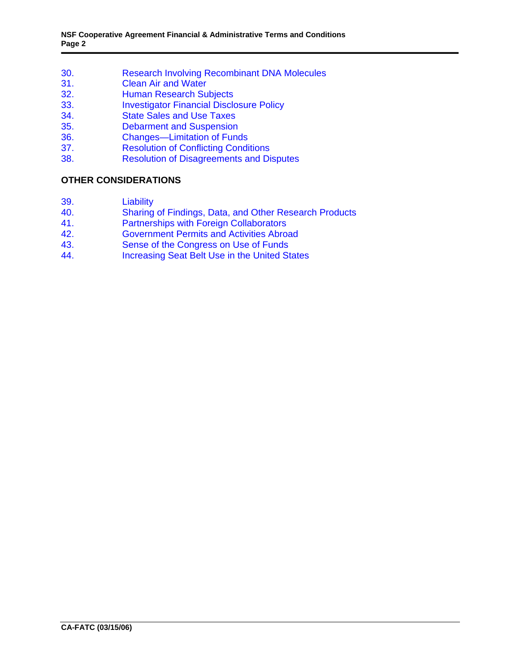- 30. [Research Involving Recombinant DNA Molecules](#page-25-0)
- 31. [Clean Air and Water](#page-25-0)
- 32. [Human Research Subjects](#page-26-0)
- 33. [Investigator Financial Disclosure Policy](#page-26-0)
- 34. [State Sales and Use Taxes](#page-26-0)
- 35. [Debarment and Suspension](#page-26-0)
- 36. [Changes—Limitation of Funds](#page-26-0)
- 37. [Resolution of Conflicting Conditions](#page-27-0)
- 38. [Resolution of Disagreements and Disputes](#page-27-0)

### **OTHER CONSIDERATIONS**

- 39. [Liability](#page-27-0)
- 40. [Sharing of Findings, Data, and Other Research Products](#page-27-0)
- 41. [Partnerships with Foreign Collaborators](#page-28-0)
- 42. [Government Permits and Activities Abroad](#page-28-0)
- 43. [Sense of the Congress on Use of Funds](#page-28-0)
- 44. [Increasing Seat Belt Use in the United States](#page-28-0)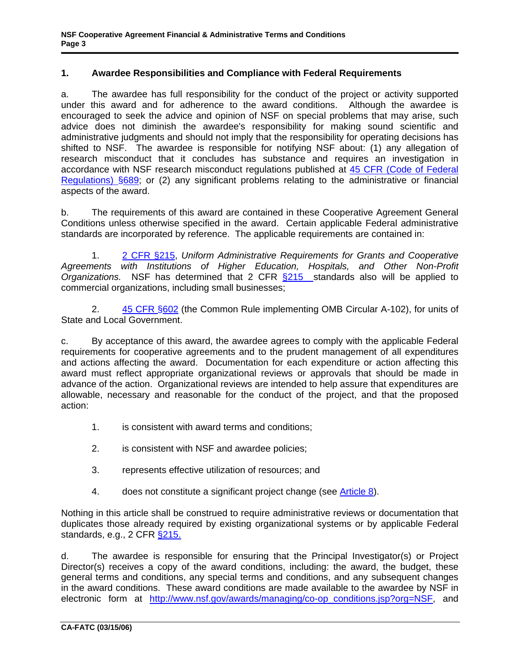### <span id="page-2-0"></span>**1. Awardee Responsibilities and Compliance with Federal Requirements**

a. The awardee has full responsibility for the conduct of the project or activity supported under this award and for adherence to the award conditions. Although the awardee is encouraged to seek the advice and opinion of NSF on special problems that may arise, such advice does not diminish the awardee's responsibility for making sound scientific and administrative judgments and should not imply that the responsibility for operating decisions has shifted to NSF. The awardee is responsible for notifying NSF about: (1) any allegation of research misconduct that it concludes has substance and requires an investigation in accordance with NSF research misconduct regulations published at [45 CFR \(Code of Federal](http://www.access.gpo.gov/nara/cfr/waisidx_04/45cfr689_04.html)  [Regulations\) §689;](http://www.access.gpo.gov/nara/cfr/waisidx_04/45cfr689_04.html) or (2) any significant problems relating to the administrative or financial aspects of the award.

b. The requirements of this award are contained in these Cooperative Agreement General Conditions unless otherwise specified in the award. Certain applicable Federal administrative standards are incorporated by reference. The applicable requirements are contained in:

 1. [2 CFR §215,](http://www.access.gpo.gov/nara/cfr/waisidx_05/2cfr215_05.html) *Uniform Administrative Requirements for Grants and Cooperative Agreements with Institutions of Higher Education, Hospitals, and Other Non-Profit Organizations.* NSF has determined that [2 CFR §215](http://www.access.gpo.gov/nara/cfr/waisidx_05/2cfr215_05.html) standards also will be applied to commercial organizations, including small businesses;

 2. [45 CFR §602](http://www.access.gpo.gov/nara/cfr/waisidx_04/45cfr602_04.html) (the Common Rule implementing OMB Circular A-102), for units of State and Local Government.

c. By acceptance of this award, the awardee agrees to comply with the applicable Federal requirements for cooperative agreements and to the prudent management of all expenditures and actions affecting the award. Documentation for each expenditure or action affecting this award must reflect appropriate organizational reviews or approvals that should be made in advance of the action. Organizational reviews are intended to help assure that expenditures are allowable, necessary and reasonable for the conduct of the project, and that the proposed action:

- 1. is consistent with award terms and conditions;
- 2. is consistent with NSF and awardee policies;
- 3. represents effective utilization of resources; and
- 4. does not constitute a significant project change (see [Article 8\)](#page-6-0).

Nothing in this article shall be construed to require administrative reviews or documentation that duplicates those already required by existing organizational systems or by applicable Federal standards, e.g., [2 CFR §215.](http://www.access.gpo.gov/nara/cfr/waisidx_05/2cfr215_05.html)

d. The awardee is responsible for ensuring that the Principal Investigator(s) or Project Director(s) receives a copy of the award conditions, including: the award, the budget, these general terms and conditions, any special terms and conditions, and any subsequent changes in the award conditions. These award conditions are made available to the awardee by NSF in electronic form at [http://www.nsf.gov/awards/managing/co-op\\_conditions.jsp?org=NSF,](http://www.nsf.gov/awards/managing/co-op_conditions.jsp?org=NSF) and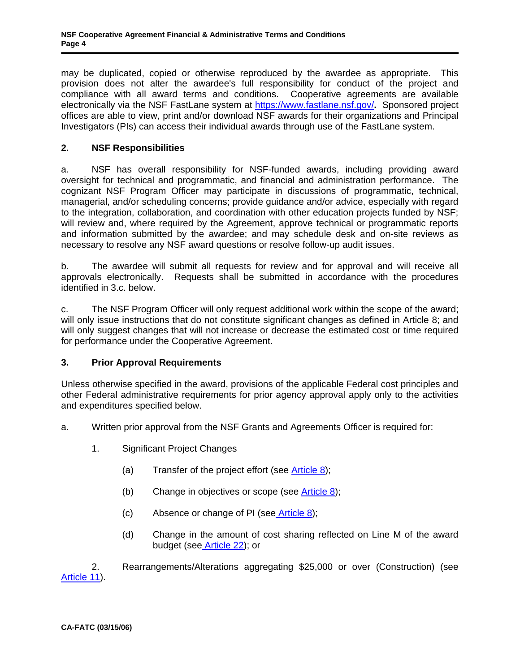<span id="page-3-1"></span><span id="page-3-0"></span>may be duplicated, copied or otherwise reproduced by the awardee as appropriate. This provision does not alter the awardee's full responsibility for conduct of the project and compliance with all award terms and conditions. Cooperative agreements are available electronically via the NSF FastLane system at <https://www.fastlane.nsf.gov/>**.** Sponsored project offices are able to view, print and/or download NSF awards for their organizations and Principal Investigators (PIs) can access their individual awards through use of the FastLane system.

# **2. NSF Responsibilities**

a. NSF has overall responsibility for NSF-funded awards, including providing award oversight for technical and programmatic, and financial and administration performance. The cognizant NSF Program Officer may participate in discussions of programmatic, technical, managerial, and/or scheduling concerns; provide guidance and/or advice, especially with regard to the integration, collaboration, and coordination with other education projects funded by NSF; will review and, where required by the Agreement, approve technical or programmatic reports and information submitted by the awardee; and may schedule desk and on-site reviews as necessary to resolve any NSF award questions or resolve follow-up audit issues.

b. The awardee will submit all requests for review and for approval and will receive all approvals electronically. Requests shall be submitted in accordance with the procedures identified in 3.c. below.

c. The NSF Program Officer will only request additional work within the scope of the award; will only issue instructions that do not constitute significant changes as defined in Article 8; and will only suggest changes that will not increase or decrease the estimated cost or time required for performance under the Cooperative Agreement.

### **3. Prior Approval Requirements**

Unless otherwise specified in the award, provisions of the applicable Federal cost principles and other Federal administrative requirements for prior agency approval apply only to the activities and expenditures specified below.

- a. Written prior approval from the NSF Grants and Agreements Officer is required for:
	- 1. Significant Project Changes
		- (a) Transfer of the project effort (see [Article 8\)](#page-6-0);
		- (b) Change in objectives or scope (see [Article 8\)](#page-6-0);
		- (c) Absence or change of PI (see [Article 8\)](#page-6-0);
		- (d) Change in the amount of cost sharing reflected on Line M of the award budget (see [Article 22](#page-19-0)); or

 2. Rearrangements/Alterations aggregating \$25,000 or over (Construction) (see [Article 11\)](#page-9-0).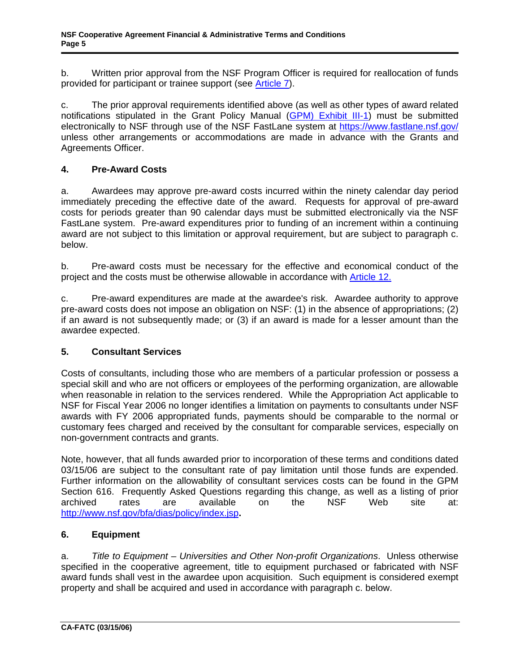<span id="page-4-0"></span>b. Written prior approval from the NSF Program Officer is required for reallocation of funds provided for participant or trainee support (see [Article 7](#page-6-0)).

c. The prior approval requirements identified above (as well as other types of award related notifications stipulated in the Grant Policy Manual ([GPM\) Exhibit III-1\)](http://www.nsf.gov/pubs/2002/nsf02151/ex3_1.pdf) must be submitted electronically to NSF through use of the NSF FastLane system at <https://www.fastlane.nsf.gov/> unless other arrangements or accommodations are made in advance with the Grants and Agreements Officer.

# **4. Pre-Award Costs**

a. Awardees may approve pre-award costs incurred within the ninety calendar day period immediately preceding the effective date of the award. Requests for approval of pre-award costs for periods greater than 90 calendar days must be submitted electronically via the NSF FastLane system. Pre-award expenditures prior to funding of an increment within a continuing award are not subject to this limitation or approval requirement, but are subject to paragraph c. below.

b. Pre-award costs must be necessary for the effective and economical conduct of the project and the costs must be otherwise allowable in accordance with [Article 12.](#page-10-0)

c. Pre-award expenditures are made at the awardee's risk. Awardee authority to approve pre-award costs does not impose an obligation on NSF: (1) in the absence of appropriations; (2) if an award is not subsequently made; or (3) if an award is made for a lesser amount than the awardee expected.

### **5. Consultant Services**

Costs of consultants, including those who are members of a particular profession or possess a special skill and who are not officers or employees of the performing organization, are allowable when reasonable in relation to the services rendered. While the Appropriation Act applicable to NSF for Fiscal Year 2006 no longer identifies a limitation on payments to consultants under NSF awards with FY 2006 appropriated funds, payments should be comparable to the normal or customary fees charged and received by the consultant for comparable services, especially on non-government contracts and grants.

Note, however, that all funds awarded prior to incorporation of these terms and conditions dated 03/15/06 are subject to the consultant rate of pay limitation until those funds are expended. Further information on the allowability of consultant services costs can be found in the GPM Section 616. Frequently Asked Questions regarding this change, as well as a listing of prior archived rates are available on the NSF Web site at: <http://www.nsf.gov/bfa/dias/policy/index.jsp>**.** 

# **6. Equipment**

a. *Title to Equipment – Universities and Other Non-profit Organizations*. Unless otherwise specified in the cooperative agreement, title to equipment purchased or fabricated with NSF award funds shall vest in the awardee upon acquisition. Such equipment is considered exempt property and shall be acquired and used in accordance with paragraph c. below.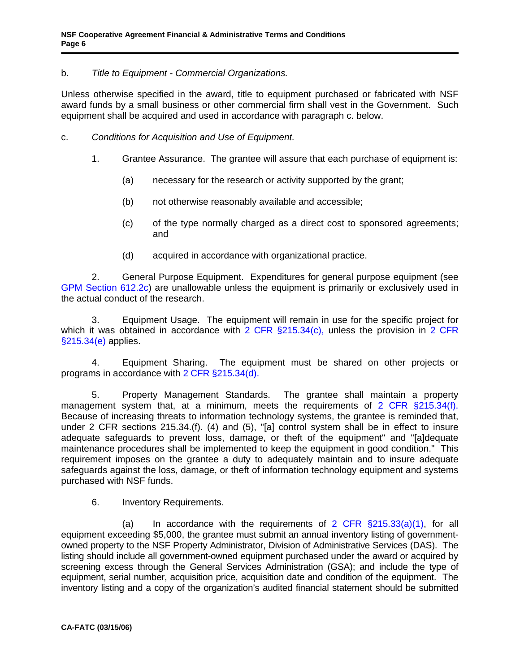# b. *Title to Equipment - Commercial Organizations.*

Unless otherwise specified in the award, title to equipment purchased or fabricated with NSF award funds by a small business or other commercial firm shall vest in the Government. Such equipment shall be acquired and used in accordance with paragraph c. below.

- c. *Conditions for Acquisition and Use of Equipment.* 
	- 1. Grantee Assurance. The grantee will assure that each purchase of equipment is:
		- (a) necessary for the research or activity supported by the grant;
		- (b) not otherwise reasonably available and accessible;
		- (c) of the type normally charged as a direct cost to sponsored agreements; and
		- (d) acquired in accordance with organizational practice.

2. General Purpose Equipment. Expenditures for general purpose equipment (see [GPM Section 612.2c\)](http://www.nsf.gov/pubs/2002/nsf02151/gpm6.jsp#612.2) are unallowable unless the equipment is primarily or exclusively used in the actual conduct of the research.

 3. Equipment Usage. The equipment will remain in use for the specific project for which it was obtained in accordance with [2 CFR](http://www.access.gpo.gov/nara/cfr/waisidx_05/2cfr215_05.html)  $\S215.34(c)$ , unless the provision in 2 CFR [§215.34\(e\)](http://www.access.gpo.gov/nara/cfr/waisidx_05/2cfr215_05.html) applies.

 4. Equipment Sharing. The equipment must be shared on other projects or programs in accordance with [2 CFR §215.34\(d\)](http://www.access.gpo.gov/nara/cfr/waisidx_05/2cfr215_05.html).

 5. Property Management Standards. The grantee shall maintain a property management system that, at a minimum, meets the requirements of [2 CFR §215.34\(f\).](http://www.access.gpo.gov/nara/cfr/waisidx_05/2cfr215_05.html) Because of increasing threats to information technology systems, the grantee is reminded that, under 2 CFR sections 215.34.(f). (4) and (5), "[a] control system shall be in effect to insure adequate safeguards to prevent loss, damage, or theft of the equipment" and "[a]dequate maintenance procedures shall be implemented to keep the equipment in good condition." This requirement imposes on the grantee a duty to adequately maintain and to insure adequate safeguards against the loss, damage, or theft of information technology equipment and systems purchased with NSF funds.

6. Inventory Requirements.

(a) In accordance with the requirements of 2 CFR  $\S 215.33(a)(1)$ , for all equipment exceeding \$5,000, the grantee must submit an annual inventory listing of governmentowned property to the NSF Property Administrator, Division of Administrative Services (DAS). The listing should include all government-owned equipment purchased under the award or acquired by screening excess through the General Services Administration (GSA); and include the type of equipment, serial number, acquisition price, acquisition date and condition of the equipment. The inventory listing and a copy of the organization's audited financial statement should be submitted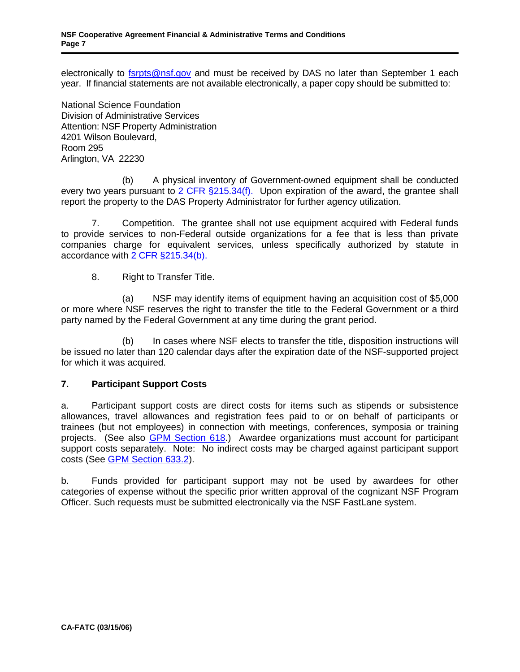<span id="page-6-0"></span>electronically to [fsrpts@nsf.gov](mailto:fsrpts@nsf.gov) and must be received by DAS no later than September 1 each year. If financial statements are not available electronically, a paper copy should be submitted to:

National Science Foundation Division of Administrative Services Attention: NSF Property Administration 4201 Wilson Boulevard, Room 295 Arlington, VA 22230

(b) A physical inventory of Government-owned equipment shall be conducted every two years pursuant to [2 CFR §215.34\(f\).](http://www.access.gpo.gov/nara/cfr/waisidx_05/2cfr215_05.html) Upon expiration of the award, the grantee shall report the property to the DAS Property Administrator for further agency utilization.

7. Competition. The grantee shall not use equipment acquired with Federal funds to provide services to non-Federal outside organizations for a fee that is less than private companies charge for equivalent services, unless specifically authorized by statute in accordance with [2 CFR §215.34\(b\).](http://www.access.gpo.gov/nara/cfr/waisidx_05/2cfr215_05.html)

8. Right to Transfer Title.

 (a) NSF may identify items of equipment having an acquisition cost of \$5,000 or more where NSF reserves the right to transfer the title to the Federal Government or a third party named by the Federal Government at any time during the grant period.

(b) In cases where NSF elects to transfer the title, disposition instructions will be issued no later than 120 calendar days after the expiration date of the NSF-supported project for which it was acquired.

### **7. Participant Support Costs**

a. Participant support costs are direct costs for items such as stipends or subsistence allowances, travel allowances and registration fees paid to or on behalf of participants or trainees (but not employees) in connection with meetings, conferences, symposia or training projects. (See also [GPM Section 618.\)](http://www.nsf.gov/pubs/2002/nsf02151/gpm6.jsp#618) Awardee organizations must account for participant support costs separately. Note: No indirect costs may be charged against participant support costs (See [GPM Section 633.2\)](http://www.nsf.gov/pubs/2002/nsf02151/gpm6.jsp#633.2).

b. Funds provided for participant support may not be used by awardees for other categories of expense without the specific prior written approval of the cognizant NSF Program Officer. Such requests must be submitted electronically via the NSF FastLane system.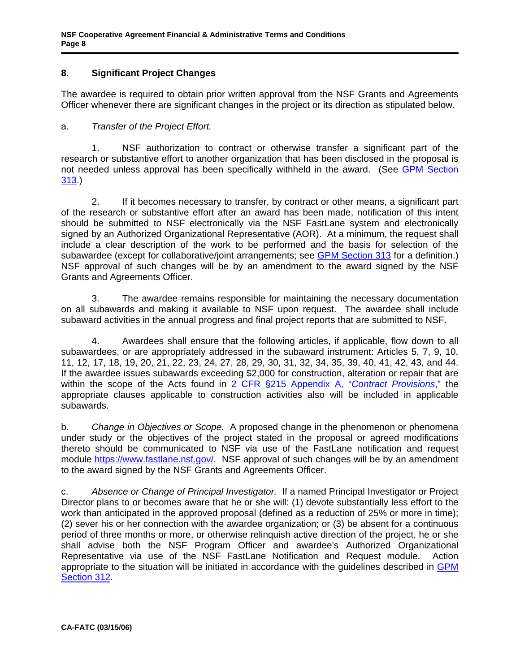# <span id="page-7-0"></span>**8. Significant Project Changes**

The awardee is required to obtain prior written approval from the NSF Grants and Agreements Officer whenever there are significant changes in the project or its direction as stipulated below.

### a. *Transfer of the Project Effort.*

1. NSF authorization to contract or otherwise transfer a significant part of the research or substantive effort to another organization that has been disclosed in the proposal is not needed unless approval has been specifically withheld in the award. (See [GPM Section](http://www.nsf.gov/pubs/2002/nsf02151/gpm3.jsp#313)  [313.](http://www.nsf.gov/pubs/2002/nsf02151/gpm3.jsp#313))

 2. If it becomes necessary to transfer, by contract or other means, a significant part of the research or substantive effort after an award has been made, notification of this intent should be submitted to NSF electronically via the NSF FastLane system and electronically signed by an Authorized Organizational Representative (AOR). At a minimum, the request shall include a clear description of the work to be performed and the basis for selection of the subawardee (except for collaborative/joint arrangements; see [GPM Section 313](http://www.nsf.gov/pubs/2002/nsf02151/gpm3.jsp#313) for a definition.) NSF approval of such changes will be by an amendment to the award signed by the NSF Grants and Agreements Officer.

3. The awardee remains responsible for maintaining the necessary documentation on all subawards and making it available to NSF upon request. The awardee shall include subaward activities in the annual progress and final project reports that are submitted to NSF.

4. Awardees shall ensure that the following articles, if applicable, flow down to all subawardees, or are appropriately addressed in the subaward instrument: Articles 5, 7, 9, 10, 11, 12, 17, 18, 19, 20, 21, 22, 23, 24, 27, 28, 29, 30, 31, 32, 34, 35, 39, 40, 41, 42, 43, and 44. If the awardee issues subawards exceeding \$2,000 for construction, alteration or repair that are within the scope of the Acts found in [2 CFR §215 Appendix A, "](http://www.access.gpo.gov/nara/cfr/waisidx_05/2cfr215_05.html)*Contract Provisions*," the appropriate clauses applicable to construction activities also will be included in applicable subawards.

b. *Change in Objectives or Scope.* A proposed change in the phenomenon or phenomena under study or the objectives of the project stated in the proposal or agreed modifications thereto should be communicated to NSF via use of the FastLane notification and request module [https://www.fastlane.nsf.gov/.](https://www.fastlane.nsf.gov/) NSF approval of such changes will be by an amendment to the award signed by the NSF Grants and Agreements Officer.

c. *Absence or Change of Principal Investigator.* If a named Principal Investigator or Project Director plans to or becomes aware that he or she will: (1) devote substantially less effort to the work than anticipated in the approved proposal (defined as a reduction of 25% or more in time); (2) sever his or her connection with the awardee organization; or (3) be absent for a continuous period of three months or more, or otherwise relinquish active direction of the project, he or she shall advise both the NSF Program Officer and awardee's Authorized Organizational Representative via use of the NSF FastLane Notification and Request module. Action appropriate to the situation will be initiated in accordance with the guidelines described in [GPM](#page-21-0)  [Section 312](http://www.nsf.gov/pubs/2002/nsf02151/gpm3.jsp#312).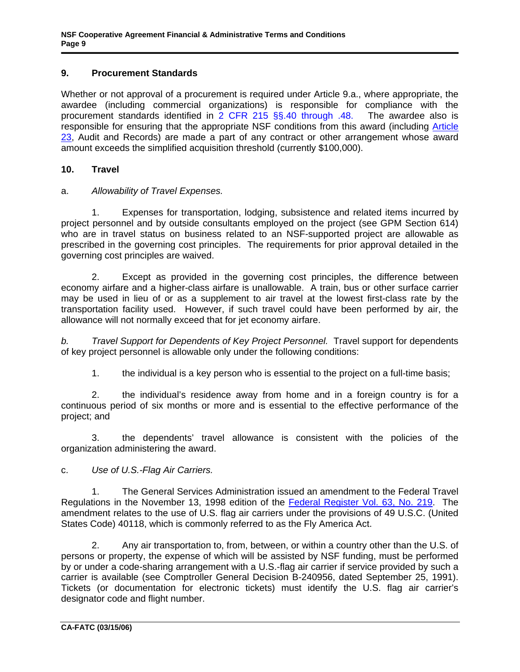### **9. Procurement Standards**

Whether or not approval of a procurement is required under Article 9.a., where appropriate, the awardee (including commercial organizations) is responsible for compliance with the procurement standards identified in [2 CFR 215 §§.40 through .48.](http://www.access.gpo.gov/nara/cfr/waisidx_05/2cfr215_05.html) The awardee also is responsible for ensuring that the appropriate NSF conditions from this award (including [Article](#page-21-1) [23,](#page-21-1) Audit and Records) are made a part of any contract or other arrangement whose award amount exceeds the simplified acquisition threshold (currently \$100,000).

#### **10. Travel**

### a. *Allowability of Travel Expenses.*

1. Expenses for transportation, lodging, subsistence and related items incurred by project personnel and by outside consultants employed on the project (see GPM Section 614) who are in travel status on business related to an NSF-supported project are allowable as prescribed in the governing cost principles. The requirements for prior approval detailed in the governing cost principles are waived.

2. Except as provided in the governing cost principles, the difference between economy airfare and a higher-class airfare is unallowable. A train, bus or other surface carrier may be used in lieu of or as a supplement to air travel at the lowest first-class rate by the transportation facility used. However, if such travel could have been performed by air, the allowance will not normally exceed that for jet economy airfare.

*b. Travel Support for Dependents of Key Project Personnel.* Travel support for dependents of key project personnel is allowable only under the following conditions:

1. the individual is a key person who is essential to the project on a full-time basis;

 2. the individual's residence away from home and in a foreign country is for a continuous period of six months or more and is essential to the effective performance of the project; and

 3. the dependents' travel allowance is consistent with the policies of the organization administering the award.

### c. *Use of U.S.-Flag Air Carriers.*

 1. The General Services Administration issued an amendment to the Federal Travel Regulations in the November 13, 1998 edition of the [Federal Register Vol. 63, No. 219.](http://www.access.gpo.gov/su_docs/fedreg/a981113c.html) The amendment relates to the use of U.S. flag air carriers under the provisions of 49 U.S.C. (United States Code) 40118, which is commonly referred to as the Fly America Act.

2. Any air transportation to, from, between, or within a country other than the U.S. of persons or property, the expense of which will be assisted by NSF funding, must be performed by or under a code-sharing arrangement with a U.S.-flag air carrier if service provided by such a carrier is available (see Comptroller General Decision B-240956, dated September 25, 1991). Tickets (or documentation for electronic tickets) must identify the U.S. flag air carrier's designator code and flight number.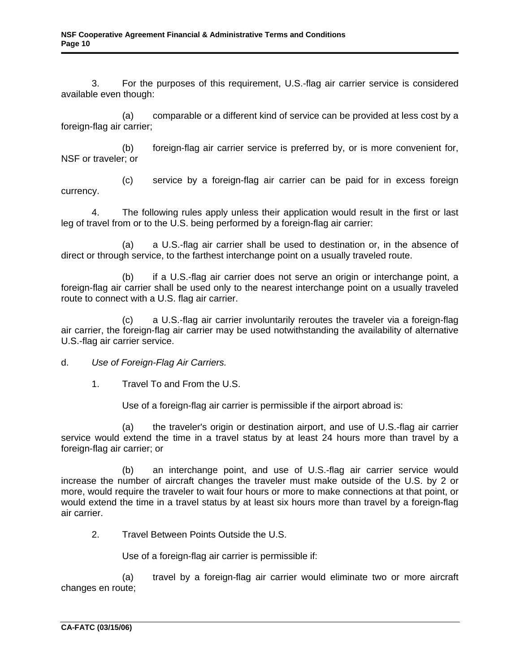<span id="page-9-0"></span> 3. For the purposes of this requirement, U.S.-flag air carrier service is considered available even though:

 (a) comparable or a different kind of service can be provided at less cost by a foreign-flag air carrier;

(b) foreign-flag air carrier service is preferred by, or is more convenient for, NSF or traveler; or

(c) service by a foreign-flag air carrier can be paid for in excess foreign currency.

 4. The following rules apply unless their application would result in the first or last leg of travel from or to the U.S. being performed by a foreign-flag air carrier:

 (a) a U.S.-flag air carrier shall be used to destination or, in the absence of direct or through service, to the farthest interchange point on a usually traveled route.

 (b) if a U.S.-flag air carrier does not serve an origin or interchange point, a foreign-flag air carrier shall be used only to the nearest interchange point on a usually traveled route to connect with a U.S. flag air carrier.

a U.S.-flag air carrier involuntarily reroutes the traveler via a foreign-flag air carrier, the foreign-flag air carrier may be used notwithstanding the availability of alternative U.S.-flag air carrier service.

d. *Use of Foreign-Flag Air Carriers.*

1. Travel To and From the U.S.

Use of a foreign-flag air carrier is permissible if the airport abroad is:

 (a) the traveler's origin or destination airport, and use of U.S.-flag air carrier service would extend the time in a travel status by at least 24 hours more than travel by a foreign-flag air carrier; or

 (b) an interchange point, and use of U.S.-flag air carrier service would increase the number of aircraft changes the traveler must make outside of the U.S. by 2 or more, would require the traveler to wait four hours or more to make connections at that point, or would extend the time in a travel status by at least six hours more than travel by a foreign-flag air carrier.

2. Travel Between Points Outside the U.S.

Use of a foreign-flag air carrier is permissible if:

 (a) travel by a foreign-flag air carrier would eliminate two or more aircraft changes en route;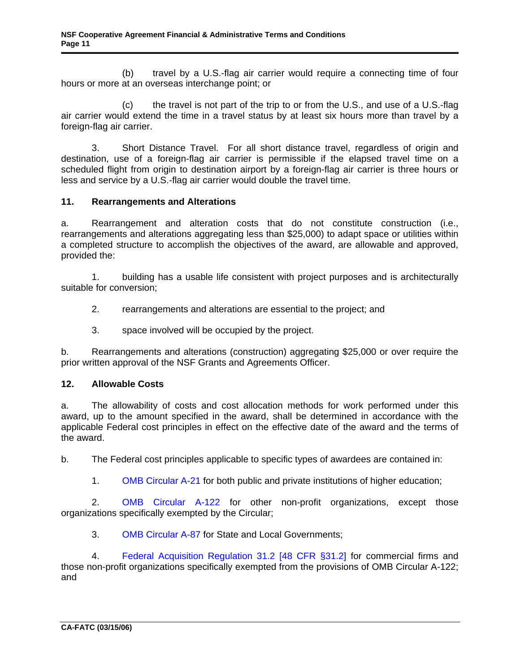<span id="page-10-1"></span><span id="page-10-0"></span> (b) travel by a U.S.-flag air carrier would require a connecting time of four hours or more at an overseas interchange point; or

 (c) the travel is not part of the trip to or from the U.S., and use of a U.S.-flag air carrier would extend the time in a travel status by at least six hours more than travel by a foreign-flag air carrier.

 3. Short Distance Travel. For all short distance travel, regardless of origin and destination, use of a foreign-flag air carrier is permissible if the elapsed travel time on a scheduled flight from origin to destination airport by a foreign-flag air carrier is three hours or less and service by a U.S.-flag air carrier would double the travel time.

# **11. Rearrangements and Alterations**

a. Rearrangement and alteration costs that do not constitute construction (i.e., rearrangements and alterations aggregating less than \$25,000) to adapt space or utilities within a completed structure to accomplish the objectives of the award, are allowable and approved, provided the:

1. building has a usable life consistent with project purposes and is architecturally suitable for conversion;

2. rearrangements and alterations are essential to the project; and

3. space involved will be occupied by the project.

b. Rearrangements and alterations (construction) aggregating \$25,000 or over require the prior written approval of the NSF Grants and Agreements Officer.

### **12. Allowable Costs**

a. The allowability of costs and cost allocation methods for work performed under this award, up to the amount specified in the award, shall be determined in accordance with the applicable Federal cost principles in effect on the effective date of the award and the terms of the award.

b. The Federal cost principles applicable to specific types of awardees are contained in:

1. [OMB Circular A-21](http://www.whitehouse.gov/omb/circulars/a021/a21_2004.html) for both public and private institutions of higher education;

 2. [OMB Circular A-122](http://www.whitehouse.gov/omb/circulars/a122/a122.html) for other non-profit organizations, except those organizations specifically exempted by the Circular;

3. [OMB Circular A-87](http://www.whitehouse.gov/omb/circulars/a087/a087-all.html) for State and Local Governments;

 4. [Federal Acquisition Regulation 31.2](http://www.arnet.gov/far/97/html/31.html) [\[48 CFR §31.2](http://www.access.gpo.gov/nara/cfr/waisidx_04/48cfr31_04.html)] for commercial firms and those non-profit organizations specifically exempted from the provisions of OMB Circular A-122; and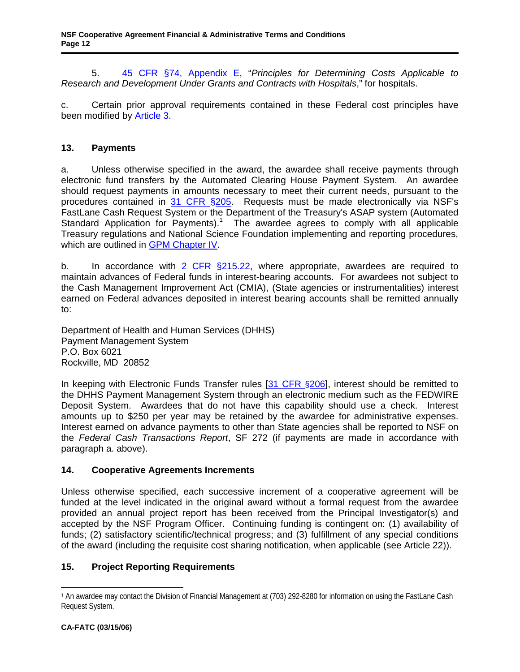<span id="page-11-1"></span><span id="page-11-0"></span> 5. [45 CFR §74, Appendix E,](http://www.access.gpo.gov/nara/cfr/waisidx_04/45cfr74_04.html) "*Principles for Determining Costs Applicable to Research and Development Under Grants and Contracts with Hospitals*," for hospitals.

c. Certain prior approval requirements contained in these Federal cost principles have been modified by [Article 3.](#page-3-1)

# **13. Payments**

a. Unless otherwise specified in the award, the awardee shall receive payments through electronic fund transfers by the Automated Clearing House Payment System. An awardee should request payments in amounts necessary to meet their current needs, pursuant to the procedures contained in [31 CFR §205.](http://www.access.gpo.gov/nara/cfr/waisidx_04/31cfr205_04.html) Requests must be made electronically via NSF's FastLane Cash Request System or the Department of the Treasury's ASAP system (Automated Standard Application for Payments).<sup>1</sup> The awardee agrees to comply with all applicable Treasury regulations and National Science Foundation implementing and reporting procedures, which are outlined in [GPM Chapter IV.](http://www.nsf.gov/pubs/2002/nsf02151/gpm4.jsp)

b. In accordance with [2 CFR §215.22,](http://www.access.gpo.gov/nara/cfr/waisidx_05/2cfr215_05.html) where appropriate, awardees are required to maintain advances of Federal funds in interest-bearing accounts. For awardees not subject to the Cash Management Improvement Act (CMIA), (State agencies or instrumentalities) interest earned on Federal advances deposited in interest bearing accounts shall be remitted annually to:

Department of Health and Human Services (DHHS) Payment Management System P.O. Box 6021 Rockville, MD 20852

In keeping with Electronic Funds Transfer rules [\[31 CFR §206\]](http://www.access.gpo.gov/nara/cfr/waisidx_04/31cfr206_04.html), interest should be remitted to the DHHS Payment Management System through an electronic medium such as the FEDWIRE Deposit System. Awardees that do not have this capability should use a check. Interest amounts up to \$250 per year may be retained by the awardee for administrative expenses. Interest earned on advance payments to other than State agencies shall be reported to NSF on the *Federal Cash Transactions Report*, SF 272 (if payments are made in accordance with paragraph a. above).

### **14. Cooperative Agreements Increments**

Unless otherwise specified, each successive increment of a cooperative agreement will be funded at the level indicated in the original award without a formal request from the awardee provided an annual project report has been received from the Principal Investigator(s) and accepted by the NSF Program Officer. Continuing funding is contingent on: (1) availability of funds; (2) satisfactory scientific/technical progress; and (3) fulfillment of any special conditions of the award (including the requisite cost sharing notification, when applicable (see Article 22)).

# **15. Project Reporting Requirements**

 $\overline{a}$ 

<sup>1</sup> An awardee may contact the Division of Financial Management at (703) 292-8280 for information on using the FastLane Cash Request System.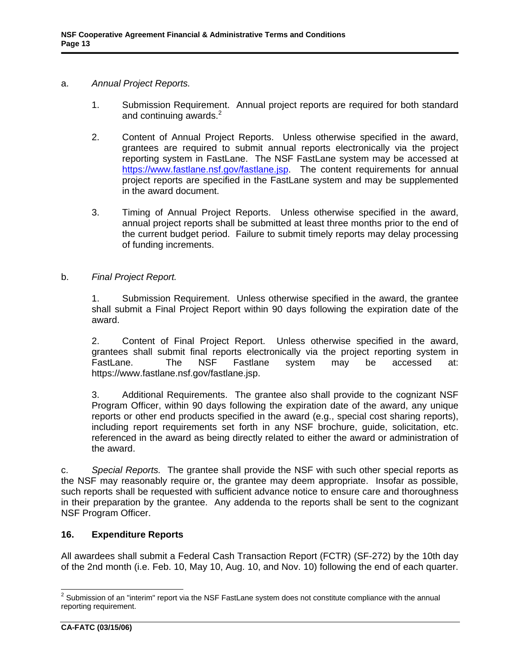- <span id="page-12-1"></span><span id="page-12-0"></span>a. *Annual Project Reports.* 
	- 1. Submission Requirement. Annual project reports are required for both standard and continuing awards. $2$
	- 2. Content of Annual Project Reports. Unless otherwise specified in the award, grantees are required to submit annual reports electronically via the project reporting system in FastLane. The NSF FastLane system may be accessed at [https://www.fastlane.nsf.gov/fastlane.jsp.](https://www.fastlane.nsf.gov/fastlane.jsp) The content requirements for annual project reports are specified in the FastLane system and may be supplemented in the award document.
	- 3. Timing of Annual Project Reports. Unless otherwise specified in the award, annual project reports shall be submitted at least three months prior to the end of the current budget period. Failure to submit timely reports may delay processing of funding increments.
- b. *Final Project Report.*

 1. Submission Requirement. Unless otherwise specified in the award, the grantee shall submit a Final Project Report within 90 days following the expiration date of the award.

 2. Content of Final Project Report. Unless otherwise specified in the award, grantees shall submit final reports electronically via the project reporting system in FastLane. The NSF Fastlane system may be accessed at: [https://www.fastlane.nsf.gov/fastlane.jsp.](https://www.fastlane.nsf.gov/fastlane.jsp) 

 3. Additional Requirements. The grantee also shall provide to the cognizant NSF Program Officer, within 90 days following the expiration date of the award, any unique reports or other end products specified in the award (e.g., special cost sharing reports), including report requirements set forth in any NSF brochure, guide, solicitation, etc. referenced in the award as being directly related to either the award or administration of the award.

c. *Special Reports.* The grantee shall provide the NSF with such other special reports as the NSF may reasonably require or, the grantee may deem appropriate. Insofar as possible, such reports shall be requested with sufficient advance notice to ensure care and thoroughness in their preparation by the grantee. Any addenda to the reports shall be sent to the cognizant NSF Program Officer.

### **16. Expenditure Reports**

All awardees shall submit a Federal Cash Transaction Report (FCTR) (SF-272) by the 10th day of the 2nd month (i.e. Feb. 10, May 10, Aug. 10, and Nov. 10) following the end of each quarter.

 2 Submission of an "interim" report via the NSF FastLane system does not constitute compliance with the annual reporting requirement.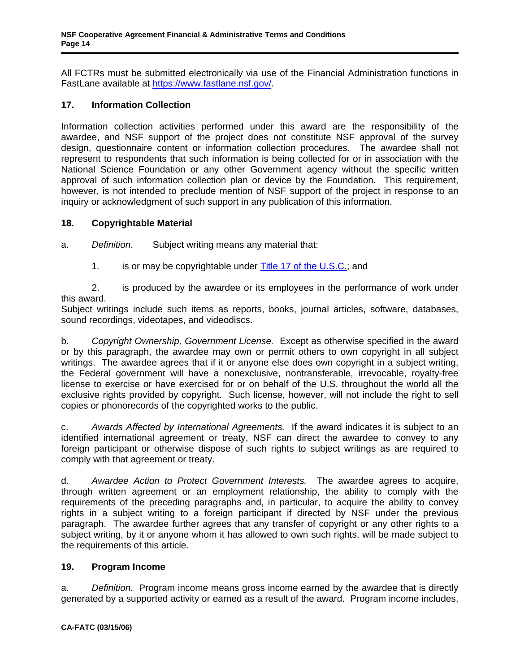<span id="page-13-0"></span>All FCTRs must be submitted electronically via use of the Financial Administration functions in FastLane available at [https://www.fastlane.nsf.gov/.](https://www.fastlane.nsf.gov/) 

### **17. Information Collection**

Information collection activities performed under this award are the responsibility of the awardee, and NSF support of the project does not constitute NSF approval of the survey design, questionnaire content or information collection procedures. The awardee shall not represent to respondents that such information is being collected for or in association with the National Science Foundation or any other Government agency without the specific written approval of such information collection plan or device by the Foundation. This requirement, however, is not intended to preclude mention of NSF support of the project in response to an inquiry or acknowledgment of such support in any publication of this information.

### **18. Copyrightable Material**

a. *Definition*. Subject writing means any material that:

1. is or may be copyrightable under [Title 17 of the U.S.C.](http://uscode.house.gov/download/pls/17T.txt); and

 2. is produced by the awardee or its employees in the performance of work under this award.

Subject writings include such items as reports, books, journal articles, software, databases, sound recordings, videotapes, and videodiscs.

b. *Copyright Ownership, Government License.* Except as otherwise specified in the award or by this paragraph, the awardee may own or permit others to own copyright in all subject writings. The awardee agrees that if it or anyone else does own copyright in a subject writing, the Federal government will have a nonexclusive, nontransferable, irrevocable, royalty-free license to exercise or have exercised for or on behalf of the U.S. throughout the world all the exclusive rights provided by copyright. Such license, however, will not include the right to sell copies or phonorecords of the copyrighted works to the public.

c. *Awards Affected by International Agreements.* If the award indicates it is subject to an identified international agreement or treaty, NSF can direct the awardee to convey to any foreign participant or otherwise dispose of such rights to subject writings as are required to comply with that agreement or treaty.

d. *Awardee Action to Protect Government Interests.* The awardee agrees to acquire, through written agreement or an employment relationship, the ability to comply with the requirements of the preceding paragraphs and, in particular, to acquire the ability to convey rights in a subject writing to a foreign participant if directed by NSF under the previous paragraph. The awardee further agrees that any transfer of copyright or any other rights to a subject writing, by it or anyone whom it has allowed to own such rights, will be made subject to the requirements of this article.

### **19. Program Income**

a. *Definition.* Program income means gross income earned by the awardee that is directly generated by a supported activity or earned as a result of the award. Program income includes,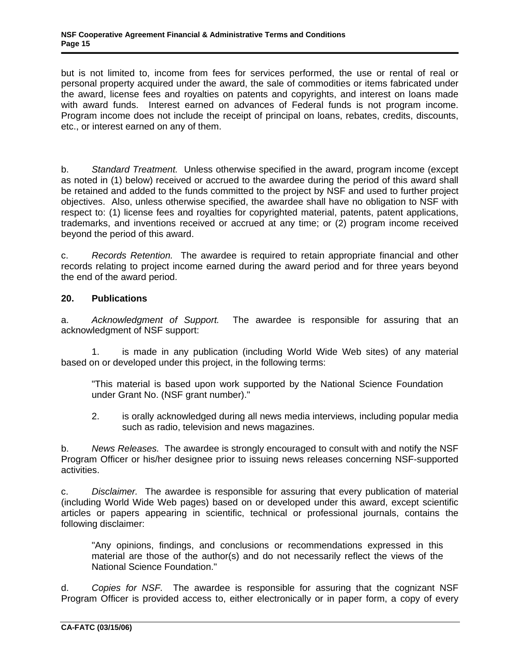<span id="page-14-0"></span>but is not limited to, income from fees for services performed, the use or rental of real or personal property acquired under the award, the sale of commodities or items fabricated under the award, license fees and royalties on patents and copyrights, and interest on loans made with award funds. Interest earned on advances of Federal funds is not program income. Program income does not include the receipt of principal on loans, rebates, credits, discounts, etc., or interest earned on any of them.

b. *Standard Treatment.* Unless otherwise specified in the award, program income (except as noted in (1) below) received or accrued to the awardee during the period of this award shall be retained and added to the funds committed to the project by NSF and used to further project objectives. Also, unless otherwise specified, the awardee shall have no obligation to NSF with respect to: (1) license fees and royalties for copyrighted material, patents, patent applications, trademarks, and inventions received or accrued at any time; or (2) program income received beyond the period of this award.

c. *Records Retention.* The awardee is required to retain appropriate financial and other records relating to project income earned during the award period and for three years beyond the end of the award period.

# **20. Publications**

a. *Acknowledgment of Support.* The awardee is responsible for assuring that an acknowledgment of NSF support:

1. is made in any publication (including World Wide Web sites) of any material based on or developed under this project, in the following terms:

"This material is based upon work supported by the National Science Foundation under Grant No. (NSF grant number)."

2. is orally acknowledged during all news media interviews, including popular media such as radio, television and news magazines.

b. *News Releases.* The awardee is strongly encouraged to consult with and notify the NSF Program Officer or his/her designee prior to issuing news releases concerning NSF-supported activities.

c. *Disclaimer.* The awardee is responsible for assuring that every publication of material (including World Wide Web pages) based on or developed under this award, except scientific articles or papers appearing in scientific, technical or professional journals, contains the following disclaimer:

"Any opinions, findings, and conclusions or recommendations expressed in this material are those of the author(s) and do not necessarily reflect the views of the National Science Foundation."

d. *Copies for NSF.* The awardee is responsible for assuring that the cognizant NSF Program Officer is provided access to, either electronically or in paper form, a copy of every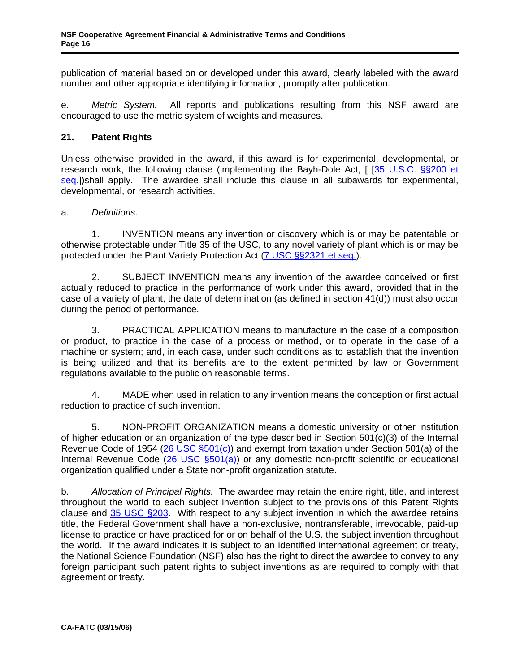publication of material based on or developed under this award, clearly labeled with the award number and other appropriate identifying information, promptly after publication.

e. *Metric System.* All reports and publications resulting from this NSF award are encouraged to use the metric system of weights and measures.

### **21. Patent Rights**

Unless otherwise provided in the award, if this award is for experimental, developmental, or research work, the following clause (implementing the Bayh-Dole Act, [ [[35 U.S.C. §§200 et](http://uscode.house.gov/download/pls/35T.txt)  [seq.\]](http://uscode.house.gov/download/pls/35T.txt))shall apply. The awardee shall include this clause in all subawards for experimental, developmental, or research activities.

#### a. *Definitions.*

 1. INVENTION means any invention or discovery which is or may be patentable or otherwise protectable under Title 35 of the USC, to any novel variety of plant which is or may be protected under the Plant Variety Protection Act [\(7 USC §§2321 et seq.\)](http://uscode.house.gov/download/pls/Title_7.txt).

 2. SUBJECT INVENTION means any invention of the awardee conceived or first actually reduced to practice in the performance of work under this award, provided that in the case of a variety of plant, the date of determination (as defined in section 41(d)) must also occur during the period of performance.

 3. PRACTICAL APPLICATION means to manufacture in the case of a composition or product, to practice in the case of a process or method, or to operate in the case of a machine or system; and, in each case, under such conditions as to establish that the invention is being utilized and that its benefits are to the extent permitted by law or Government regulations available to the public on reasonable terms.

 4. MADE when used in relation to any invention means the conception or first actual reduction to practice of such invention.

 5. NON-PROFIT ORGANIZATION means a domestic university or other institution of higher education or an organization of the type described in Section  $501(c)(3)$  of the Internal Revenue Code of 1954 ([26 USC §501\(c\)](http://uscode.house.gov/download/pls/Title_26.txt)) and exempt from taxation under Section 501(a) of the Internal Revenue Code ([26 USC §501\(a\)\)](http://uscode.house.gov/download/pls/Title_26.txt) or any domestic non-profit scientific or educational organization qualified under a State non-profit organization statute.

b. *Allocation of Principal Rights.* The awardee may retain the entire right, title, and interest throughout the world to each subject invention subject to the provisions of this Patent Rights clause and [35 USC §203.](http://uscode.house.gov/download/pls/35T.txt) With respect to any subject invention in which the awardee retains title, the Federal Government shall have a non-exclusive, nontransferable, irrevocable, paid-up license to practice or have practiced for or on behalf of the U.S. the subject invention throughout the world. If the award indicates it is subject to an identified international agreement or treaty, the National Science Foundation (NSF) also has the right to direct the awardee to convey to any foreign participant such patent rights to subject inventions as are required to comply with that agreement or treaty.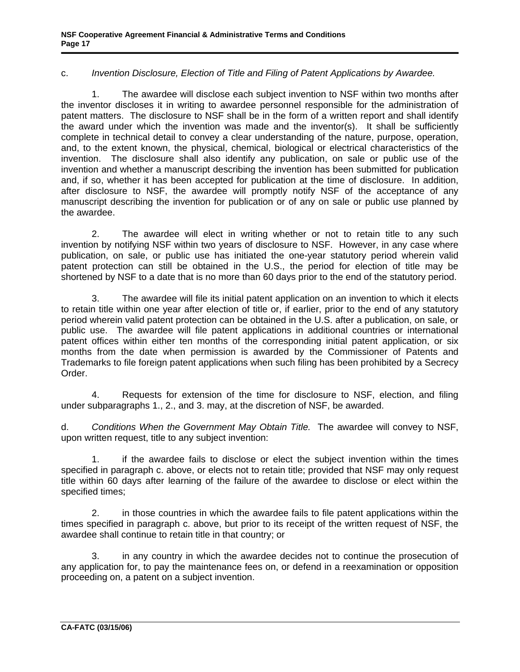# c. *Invention Disclosure, Election of Title and Filing of Patent Applications by Awardee.*

 1. The awardee will disclose each subject invention to NSF within two months after the inventor discloses it in writing to awardee personnel responsible for the administration of patent matters. The disclosure to NSF shall be in the form of a written report and shall identify the award under which the invention was made and the inventor(s). It shall be sufficiently complete in technical detail to convey a clear understanding of the nature, purpose, operation, and, to the extent known, the physical, chemical, biological or electrical characteristics of the invention. The disclosure shall also identify any publication, on sale or public use of the invention and whether a manuscript describing the invention has been submitted for publication and, if so, whether it has been accepted for publication at the time of disclosure. In addition, after disclosure to NSF, the awardee will promptly notify NSF of the acceptance of any manuscript describing the invention for publication or of any on sale or public use planned by the awardee.

 2. The awardee will elect in writing whether or not to retain title to any such invention by notifying NSF within two years of disclosure to NSF. However, in any case where publication, on sale, or public use has initiated the one-year statutory period wherein valid patent protection can still be obtained in the U.S., the period for election of title may be shortened by NSF to a date that is no more than 60 days prior to the end of the statutory period.

 3. The awardee will file its initial patent application on an invention to which it elects to retain title within one year after election of title or, if earlier, prior to the end of any statutory period wherein valid patent protection can be obtained in the U.S. after a publication, on sale, or public use. The awardee will file patent applications in additional countries or international patent offices within either ten months of the corresponding initial patent application, or six months from the date when permission is awarded by the Commissioner of Patents and Trademarks to file foreign patent applications when such filing has been prohibited by a Secrecy Order.

 4. Requests for extension of the time for disclosure to NSF, election, and filing under subparagraphs 1., 2., and 3. may, at the discretion of NSF, be awarded.

d. *Conditions When the Government May Obtain Title.* The awardee will convey to NSF, upon written request, title to any subject invention:

1. if the awardee fails to disclose or elect the subject invention within the times specified in paragraph c. above, or elects not to retain title; provided that NSF may only request title within 60 days after learning of the failure of the awardee to disclose or elect within the specified times;

 2. in those countries in which the awardee fails to file patent applications within the times specified in paragraph c. above, but prior to its receipt of the written request of NSF, the awardee shall continue to retain title in that country; or

 3. in any country in which the awardee decides not to continue the prosecution of any application for, to pay the maintenance fees on, or defend in a reexamination or opposition proceeding on, a patent on a subject invention.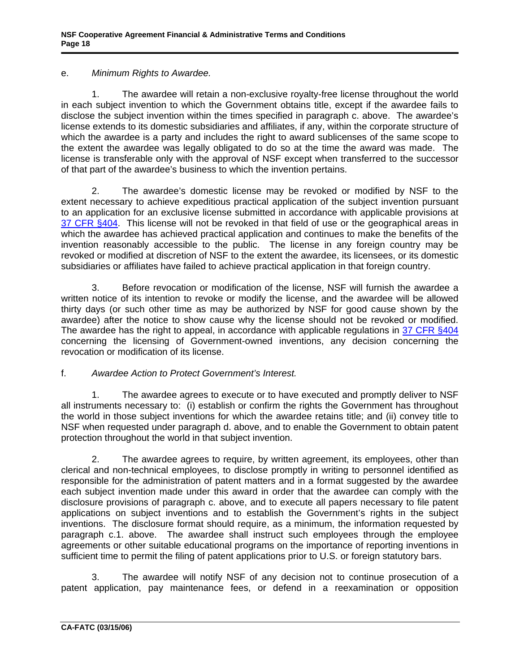# e. *Minimum Rights to Awardee.*

 1. The awardee will retain a non-exclusive royalty-free license throughout the world in each subject invention to which the Government obtains title, except if the awardee fails to disclose the subject invention within the times specified in paragraph c. above. The awardee's license extends to its domestic subsidiaries and affiliates, if any, within the corporate structure of which the awardee is a party and includes the right to award sublicenses of the same scope to the extent the awardee was legally obligated to do so at the time the award was made. The license is transferable only with the approval of NSF except when transferred to the successor of that part of the awardee's business to which the invention pertains.

 2. The awardee's domestic license may be revoked or modified by NSF to the extent necessary to achieve expeditious practical application of the subject invention pursuant to an application for an exclusive license submitted in accordance with applicable provisions at [37 CFR §404.](http://www.access.gpo.gov/nara/cfr/waisidx_04/37cfr404_04.html) This license will not be revoked in that field of use or the geographical areas in which the awardee has achieved practical application and continues to make the benefits of the invention reasonably accessible to the public. The license in any foreign country may be revoked or modified at discretion of NSF to the extent the awardee, its licensees, or its domestic subsidiaries or affiliates have failed to achieve practical application in that foreign country.

 3. Before revocation or modification of the license, NSF will furnish the awardee a written notice of its intention to revoke or modify the license, and the awardee will be allowed thirty days (or such other time as may be authorized by NSF for good cause shown by the awardee) after the notice to show cause why the license should not be revoked or modified. The awardee has the right to appeal, in accordance with applicable regulations in [37 CFR §404](http://www.access.gpo.gov/nara/cfr/waisidx_04/37cfr404_04.html) concerning the licensing of Government-owned inventions, any decision concerning the revocation or modification of its license.

### f. *Awardee Action to Protect Government's Interest.*

 1. The awardee agrees to execute or to have executed and promptly deliver to NSF all instruments necessary to: (i) establish or confirm the rights the Government has throughout the world in those subject inventions for which the awardee retains title; and (ii) convey title to NSF when requested under paragraph d. above, and to enable the Government to obtain patent protection throughout the world in that subject invention.

 2. The awardee agrees to require, by written agreement, its employees, other than clerical and non-technical employees, to disclose promptly in writing to personnel identified as responsible for the administration of patent matters and in a format suggested by the awardee each subject invention made under this award in order that the awardee can comply with the disclosure provisions of paragraph c. above, and to execute all papers necessary to file patent applications on subject inventions and to establish the Government's rights in the subject inventions. The disclosure format should require, as a minimum, the information requested by paragraph c.1. above. The awardee shall instruct such employees through the employee agreements or other suitable educational programs on the importance of reporting inventions in sufficient time to permit the filing of patent applications prior to U.S. or foreign statutory bars.

 3. The awardee will notify NSF of any decision not to continue prosecution of a patent application, pay maintenance fees, or defend in a reexamination or opposition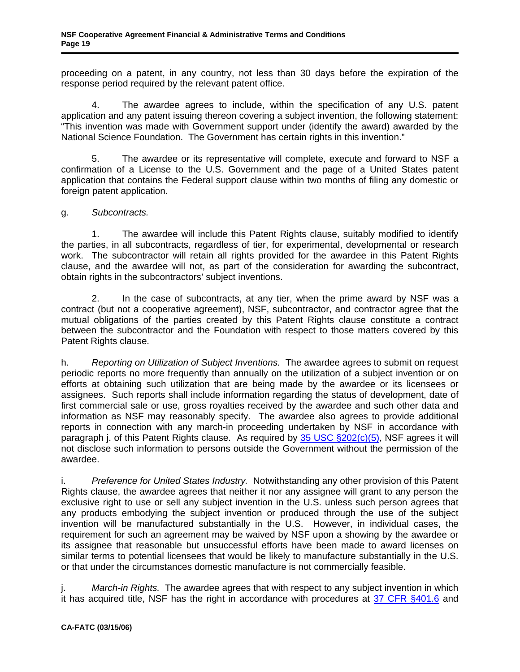proceeding on a patent, in any country, not less than 30 days before the expiration of the response period required by the relevant patent office.

 4. The awardee agrees to include, within the specification of any U.S. patent application and any patent issuing thereon covering a subject invention, the following statement: "This invention was made with Government support under (identify the award) awarded by the National Science Foundation. The Government has certain rights in this invention."

 5. The awardee or its representative will complete, execute and forward to NSF a confirmation of a License to the U.S. Government and the page of a United States patent application that contains the Federal support clause within two months of filing any domestic or foreign patent application.

### g. *Subcontracts.*

 1. The awardee will include this Patent Rights clause, suitably modified to identify the parties, in all subcontracts, regardless of tier, for experimental, developmental or research work. The subcontractor will retain all rights provided for the awardee in this Patent Rights clause, and the awardee will not, as part of the consideration for awarding the subcontract, obtain rights in the subcontractors' subject inventions.

 2. In the case of subcontracts, at any tier, when the prime award by NSF was a contract (but not a cooperative agreement), NSF, subcontractor, and contractor agree that the mutual obligations of the parties created by this Patent Rights clause constitute a contract between the subcontractor and the Foundation with respect to those matters covered by this Patent Rights clause.

h. *Reporting on Utilization of Subject Inventions.* The awardee agrees to submit on request periodic reports no more frequently than annually on the utilization of a subject invention or on efforts at obtaining such utilization that are being made by the awardee or its licensees or assignees. Such reports shall include information regarding the status of development, date of first commercial sale or use, gross royalties received by the awardee and such other data and information as NSF may reasonably specify. The awardee also agrees to provide additional reports in connection with any march-in proceeding undertaken by NSF in accordance with paragraph j. of this Patent Rights clause. As required by [35 USC §202\(c\)\(5\),](http://uscode.house.gov/download/pls/35T.txt) NSF agrees it will not disclose such information to persons outside the Government without the permission of the awardee.

i. *Preference for United States Industry.* Notwithstanding any other provision of this Patent Rights clause, the awardee agrees that neither it nor any assignee will grant to any person the exclusive right to use or sell any subject invention in the U.S. unless such person agrees that any products embodying the subject invention or produced through the use of the subject invention will be manufactured substantially in the U.S. However, in individual cases, the requirement for such an agreement may be waived by NSF upon a showing by the awardee or its assignee that reasonable but unsuccessful efforts have been made to award licenses on similar terms to potential licensees that would be likely to manufacture substantially in the U.S. or that under the circumstances domestic manufacture is not commercially feasible.

*March-in Rights.* The awardee agrees that with respect to any subject invention in which it has acquired title, NSF has the right in accordance with procedures at [37 CFR §401.6](http://www.access.gpo.gov/nara/cfr/waisidx_04/37cfr401_04.html) and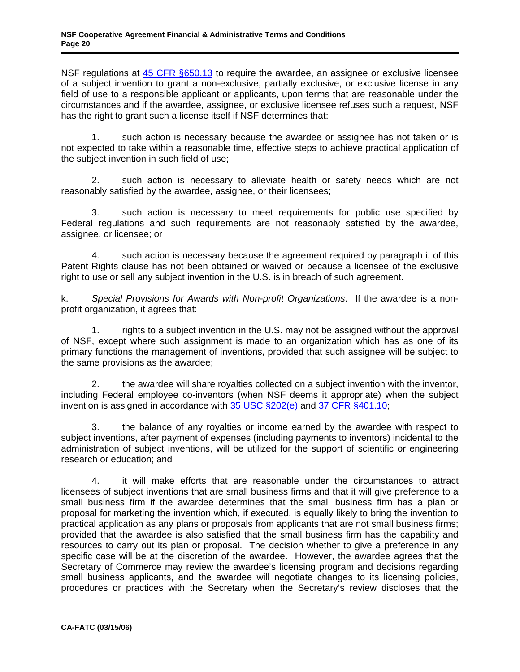<span id="page-19-0"></span>NSF regulations at [45 CFR §650.13](http://www.access.gpo.gov/nara/cfr/waisidx_04/45cfr650_04.html) to require the awardee, an assignee or exclusive licensee of a subject invention to grant a non-exclusive, partially exclusive, or exclusive license in any field of use to a responsible applicant or applicants, upon terms that are reasonable under the circumstances and if the awardee, assignee, or exclusive licensee refuses such a request, NSF has the right to grant such a license itself if NSF determines that:

 1. such action is necessary because the awardee or assignee has not taken or is not expected to take within a reasonable time, effective steps to achieve practical application of the subject invention in such field of use;

 2. such action is necessary to alleviate health or safety needs which are not reasonably satisfied by the awardee, assignee, or their licensees;

such action is necessary to meet requirements for public use specified by Federal regulations and such requirements are not reasonably satisfied by the awardee, assignee, or licensee; or

 4. such action is necessary because the agreement required by paragraph i. of this Patent Rights clause has not been obtained or waived or because a licensee of the exclusive right to use or sell any subject invention in the U.S. is in breach of such agreement.

k. *Special Provisions for Awards with Non-profit Organizations*. If the awardee is a nonprofit organization, it agrees that:

 1. rights to a subject invention in the U.S. may not be assigned without the approval of NSF, except where such assignment is made to an organization which has as one of its primary functions the management of inventions, provided that such assignee will be subject to the same provisions as the awardee;

 2. the awardee will share royalties collected on a subject invention with the inventor, including Federal employee co-inventors (when NSF deems it appropriate) when the subject invention is assigned in accordance with [35 USC §202\(e\)](http://uscode.house.gov/download/pls/35T.txt) and [37 CFR §401.10;](http://www.access.gpo.gov/nara/cfr/waisidx_04/37cfr401_04.html)

 3. the balance of any royalties or income earned by the awardee with respect to subject inventions, after payment of expenses (including payments to inventors) incidental to the administration of subject inventions, will be utilized for the support of scientific or engineering research or education; and

 4. it will make efforts that are reasonable under the circumstances to attract licensees of subject inventions that are small business firms and that it will give preference to a small business firm if the awardee determines that the small business firm has a plan or proposal for marketing the invention which, if executed, is equally likely to bring the invention to practical application as any plans or proposals from applicants that are not small business firms; provided that the awardee is also satisfied that the small business firm has the capability and resources to carry out its plan or proposal. The decision whether to give a preference in any specific case will be at the discretion of the awardee. However, the awardee agrees that the Secretary of Commerce may review the awardee's licensing program and decisions regarding small business applicants, and the awardee will negotiate changes to its licensing policies, procedures or practices with the Secretary when the Secretary's review discloses that the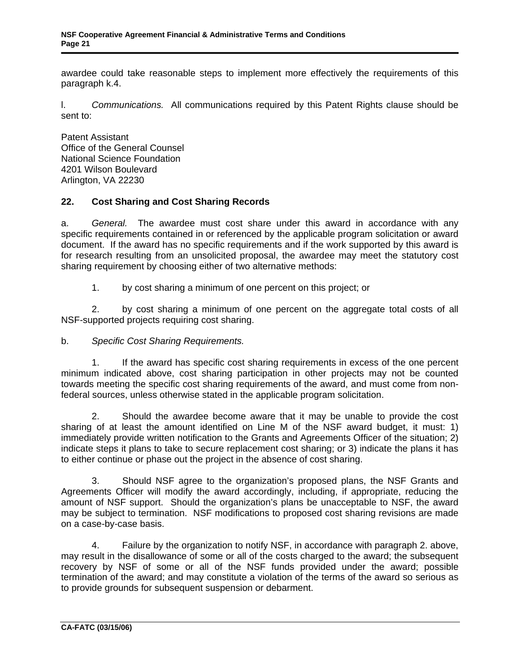awardee could take reasonable steps to implement more effectively the requirements of this paragraph k.4.

l. *Communications.* All communications required by this Patent Rights clause should be sent to:

Patent Assistant Office of the General Counsel National Science Foundation 4201 Wilson Boulevard Arlington, VA 22230

### **22. Cost Sharing and Cost Sharing Records**

a. *General.* The awardee must cost share under this award in accordance with any specific requirements contained in or referenced by the applicable program solicitation or award document. If the award has no specific requirements and if the work supported by this award is for research resulting from an unsolicited proposal, the awardee may meet the statutory cost sharing requirement by choosing either of two alternative methods:

1. by cost sharing a minimum of one percent on this project; or

 2. by cost sharing a minimum of one percent on the aggregate total costs of all NSF-supported projects requiring cost sharing.

#### b. *Specific Cost Sharing Requirements.*

 1. If the award has specific cost sharing requirements in excess of the one percent minimum indicated above, cost sharing participation in other projects may not be counted towards meeting the specific cost sharing requirements of the award, and must come from nonfederal sources, unless otherwise stated in the applicable program solicitation.

 2. Should the awardee become aware that it may be unable to provide the cost sharing of at least the amount identified on Line M of the NSF award budget, it must: 1) immediately provide written notification to the Grants and Agreements Officer of the situation; 2) indicate steps it plans to take to secure replacement cost sharing; or 3) indicate the plans it has to either continue or phase out the project in the absence of cost sharing.

 3. Should NSF agree to the organization's proposed plans, the NSF Grants and Agreements Officer will modify the award accordingly, including, if appropriate, reducing the amount of NSF support. Should the organization's plans be unacceptable to NSF, the award may be subject to termination. NSF modifications to proposed cost sharing revisions are made on a case-by-case basis.

 4. Failure by the organization to notify NSF, in accordance with paragraph 2. above, may result in the disallowance of some or all of the costs charged to the award; the subsequent recovery by NSF of some or all of the NSF funds provided under the award; possible termination of the award; and may constitute a violation of the terms of the award so serious as to provide grounds for subsequent suspension or debarment.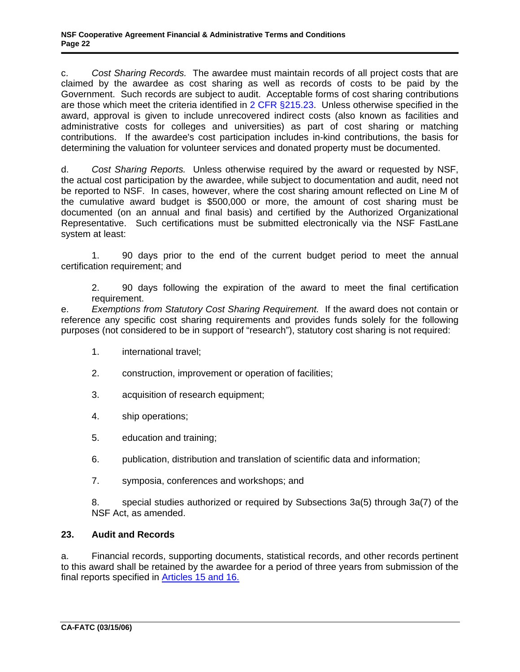<span id="page-21-1"></span><span id="page-21-0"></span>c. *Cost Sharing Records.* The awardee must maintain records of all project costs that are claimed by the awardee as cost sharing as well as records of costs to be paid by the Government. Such records are subject to audit. Acceptable forms of cost sharing contributions are those which meet the criteria identified in [2 CFR §215.23.](http://www.access.gpo.gov/nara/cfr/waisidx_05/2cfr215_05.html) Unless otherwise specified in the award, approval is given to include unrecovered indirect costs (also known as facilities and administrative costs for colleges and universities) as part of cost sharing or matching contributions. If the awardee's cost participation includes in-kind contributions, the basis for determining the valuation for volunteer services and donated property must be documented.

d. *Cost Sharing Reports.* Unless otherwise required by the award or requested by NSF, the actual cost participation by the awardee, while subject to documentation and audit, need not be reported to NSF. In cases, however, where the cost sharing amount reflected on Line M of the cumulative award budget is \$500,000 or more, the amount of cost sharing must be documented (on an annual and final basis) and certified by the Authorized Organizational Representative. Such certifications must be submitted electronically via the NSF FastLane system at least:

1. 90 days prior to the end of the current budget period to meet the annual certification requirement; and

2. 90 days following the expiration of the award to meet the final certification requirement.

e. *Exemptions from Statutory Cost Sharing Requirement.* If the award does not contain or reference any specific cost sharing requirements and provides funds solely for the following purposes (not considered to be in support of "research"), statutory cost sharing is not required:

- 1. international travel;
- 2. construction, improvement or operation of facilities;
- 3. acquisition of research equipment;
- 4. ship operations;
- 5. education and training;
- 6. publication, distribution and translation of scientific data and information;
- 7. symposia, conferences and workshops; and

 8. special studies authorized or required by Subsections 3a(5) through 3a(7) of the NSF Act, as amended.

### **23. Audit and Records**

a. Financial records, supporting documents, statistical records, and other records pertinent to this award shall be retained by the awardee for a period of three years from submission of the final reports specified in Articles [15](#page-11-1) and [16.](#page-12-1)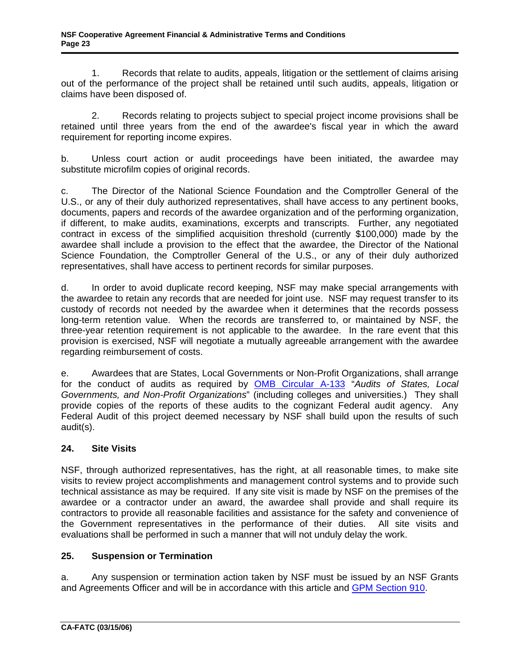<span id="page-22-0"></span> 1. Records that relate to audits, appeals, litigation or the settlement of claims arising out of the performance of the project shall be retained until such audits, appeals, litigation or claims have been disposed of.

 2. Records relating to projects subject to special project income provisions shall be retained until three years from the end of the awardee's fiscal year in which the award requirement for reporting income expires.

b. Unless court action or audit proceedings have been initiated, the awardee may substitute microfilm copies of original records.

c. The Director of the National Science Foundation and the Comptroller General of the U.S., or any of their duly authorized representatives, shall have access to any pertinent books, documents, papers and records of the awardee organization and of the performing organization, if different, to make audits, examinations, excerpts and transcripts. Further, any negotiated contract in excess of the simplified acquisition threshold (currently \$100,000) made by the awardee shall include a provision to the effect that the awardee, the Director of the National Science Foundation, the Comptroller General of the U.S., or any of their duly authorized representatives, shall have access to pertinent records for similar purposes.

d. In order to avoid duplicate record keeping, NSF may make special arrangements with the awardee to retain any records that are needed for joint use. NSF may request transfer to its custody of records not needed by the awardee when it determines that the records possess long-term retention value. When the records are transferred to, or maintained by NSF, the three-year retention requirement is not applicable to the awardee. In the rare event that this provision is exercised, NSF will negotiate a mutually agreeable arrangement with the awardee regarding reimbursement of costs.

e. Awardees that are States, Local Governments or Non-Profit Organizations, shall arrange for the conduct of audits as required by [OMB Circular A-133](http://www.whitehouse.gov/omb/circulars/a133/a133.html) "*Audits of States, Local Governments, and Non-Profit Organizations*" (including colleges and universities.) They shall provide copies of the reports of these audits to the cognizant Federal audit agency. Any Federal Audit of this project deemed necessary by NSF shall build upon the results of such audit(s).

### **24. Site Visits**

NSF, through authorized representatives, has the right, at all reasonable times, to make site visits to review project accomplishments and management control systems and to provide such technical assistance as may be required. If any site visit is made by NSF on the premises of the awardee or a contractor under an award, the awardee shall provide and shall require its contractors to provide all reasonable facilities and assistance for the safety and convenience of the Government representatives in the performance of their duties. All site visits and evaluations shall be performed in such a manner that will not unduly delay the work.

### **25. Suspension or Termination**

a. Any suspension or termination action taken by NSF must be issued by an NSF Grants and Agreements Officer and will be in accordance with this article and [GPM Section 910.](http://www.nsf.gov/pubs/2002/nsf02151/gpm9.jsp#910)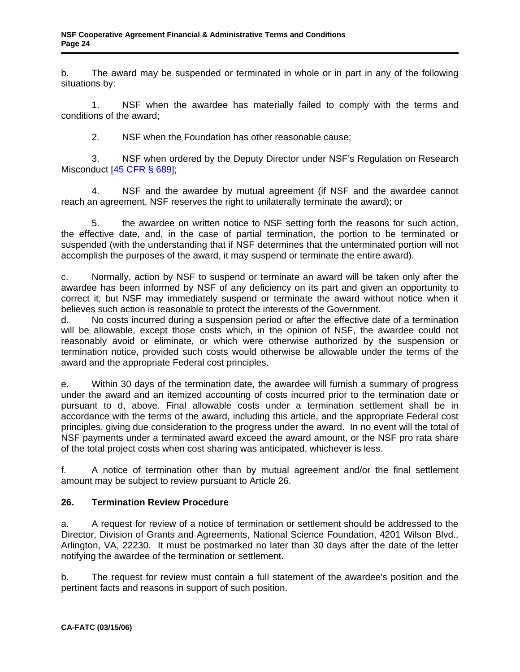<span id="page-23-0"></span>b. The award may be suspended or terminated in whole or in part in any of the following situations by:

 1. NSF when the awardee has materially failed to comply with the terms and conditions of the award;

2. NSF when the Foundation has other reasonable cause;

 3. NSF when ordered by the Deputy Director under NSF's Regulation on Research Misconduct [\[45 CFR § 689\]](http://www.access.gpo.gov/nara/cfr/waisidx_04/45cfr689_04.html);

 4. NSF and the awardee by mutual agreement (if NSF and the awardee cannot reach an agreement, NSF reserves the right to unilaterally terminate the award); or

 5. the awardee on written notice to NSF setting forth the reasons for such action, the effective date, and, in the case of partial termination, the portion to be terminated or suspended (with the understanding that if NSF determines that the unterminated portion will not accomplish the purposes of the award, it may suspend or terminate the entire award).

c. Normally, action by NSF to suspend or terminate an award will be taken only after the awardee has been informed by NSF of any deficiency on its part and given an opportunity to correct it; but NSF may immediately suspend or terminate the award without notice when it believes such action is reasonable to protect the interests of the Government.

d. No costs incurred during a suspension period or after the effective date of a termination will be allowable, except those costs which, in the opinion of NSF, the awardee could not reasonably avoid or eliminate, or which were otherwise authorized by the suspension or termination notice, provided such costs would otherwise be allowable under the terms of the award and the appropriate Federal cost principles.

e. Within 30 days of the termination date, the awardee will furnish a summary of progress under the award and an itemized accounting of costs incurred prior to the termination date or pursuant to d, above. Final allowable costs under a termination settlement shall be in accordance with the terms of the award, including this article, and the appropriate Federal cost principles, giving due consideration to the progress under the award. In no event will the total of NSF payments under a terminated award exceed the award amount, or the NSF pro rata share of the total project costs when cost sharing was anticipated, whichever is less.

f. A notice of termination other than by mutual agreement and/or the final settlement amount may be subject to review pursuant to Article 26.

# **26. Termination Review Procedure**

a. A request for review of a notice of termination or settlement should be addressed to the Director, Division of Grants and Agreements, National Science Foundation, 4201 Wilson Blvd., Arlington, VA, 22230. It must be postmarked no later than 30 days after the date of the letter notifying the awardee of the termination or settlement.

b. The request for review must contain a full statement of the awardee's position and the pertinent facts and reasons in support of such position.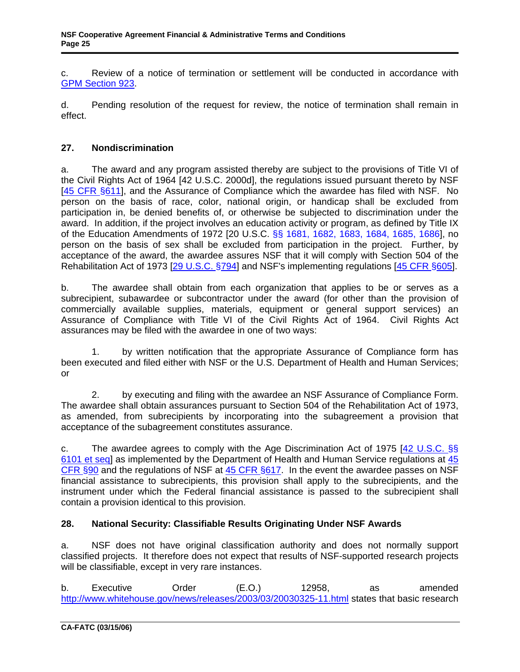<span id="page-24-0"></span>c. Review of a notice of termination or settlement will be conducted in accordance with [GPM Section 923](http://www.nsf.gov/pubs/2002/nsf02151/gpm9.jsp#923).

d. Pending resolution of the request for review, the notice of termination shall remain in effect.

### **27. Nondiscrimination**

a. The award and any program assisted thereby are subject to the provisions of Title VI of the Civil Rights Act of 1964 [42 U.S.C. 2000d], the regulations issued pursuant thereto by NSF [\[45 CFR §611\]](http://www.access.gpo.gov/nara/cfr/waisidx_04/45cfr611_04.html), and the Assurance of Compliance which the awardee has filed with NSF. No person on the basis of race, color, national origin, or handicap shall be excluded from participation in, be denied benefits of, or otherwise be subjected to discrimination under the award. In addition, if the project involves an education activity or program, as defined by Title IX of the Education Amendments of 1972 [20 U.S.C. [§§ 1681, 1682, 1683, 1684, 1685, 1686\]](http://uscode.house.gov/download/pls/Title_20.txt), no person on the basis of sex shall be excluded from participation in the project. Further, by acceptance of the award, the awardee assures NSF that it will comply with Section 504 of the Rehabilitation Act of 1973 [\[29 U.S.C. §794\]](http://uscode.house.gov/download/pls/Title_29.txt) and NSF's implementing regulations [[45 CFR §605\]](http://www.access.gpo.gov/nara/cfr/waisidx_04/45cfr605_04.html).

b. The awardee shall obtain from each organization that applies to be or serves as a subrecipient, subawardee or subcontractor under the award (for other than the provision of commercially available supplies, materials, equipment or general support services) an Assurance of Compliance with Title VI of the Civil Rights Act of 1964. Civil Rights Act assurances may be filed with the awardee in one of two ways:

1. by written notification that the appropriate Assurance of Compliance form has been executed and filed either with NSF or the U.S. Department of Health and Human Services; or

2. by executing and filing with the awardee an NSF Assurance of Compliance Form. The awardee shall obtain assurances pursuant to Section 504 of the Rehabilitation Act of 1973, as amended, from subrecipients by incorporating into the subagreement a provision that acceptance of the subagreement constitutes assurance.

c. The awardee agrees to comply with the Age Discrimination Act of 1975 [\[42 U.S.C. §§](http://uscode.house.gov/download/pls/Title_42.txt) [6101 et seq\]](http://uscode.house.gov/download/pls/Title_42.txt) as implemented by the Department of Health and Human Service regulations at [45](http://www.access.gpo.gov/nara/cfr/waisidx_04/45cfr90_04.html)  [CFR §90](http://www.access.gpo.gov/nara/cfr/waisidx_04/45cfr90_04.html) and the regulations of NSF at [45 CFR §617](http://www.access.gpo.gov/nara/cfr/waisidx_04/45cfr617_04.html). In the event the awardee passes on NSF financial assistance to subrecipients, this provision shall apply to the subrecipients, and the instrument under which the Federal financial assistance is passed to the subrecipient shall contain a provision identical to this provision.

### **28. National Security: Classifiable Results Originating Under NSF Awards**

a. NSF does not have original classification authority and does not normally support classified projects. It therefore does not expect that results of NSF-supported research projects will be classifiable, except in very rare instances.

b. Executive Order (E.O.) 12958, as amended <http://www.whitehouse.gov/news/releases/2003/03/20030325-11.html>states that basic research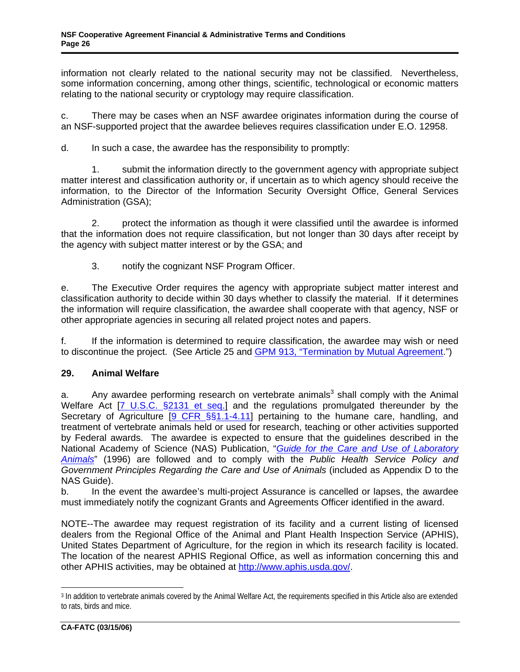<span id="page-25-0"></span>information not clearly related to the national security may not be classified. Nevertheless, some information concerning, among other things, scientific, technological or economic matters relating to the national security or cryptology may require classification.

c. There may be cases when an NSF awardee originates information during the course of an NSF-supported project that the awardee believes requires classification under E.O. 12958.

d. In such a case, the awardee has the responsibility to promptly:

 1. submit the information directly to the government agency with appropriate subject matter interest and classification authority or, if uncertain as to which agency should receive the information, to the Director of the Information Security Oversight Office, General Services Administration (GSA);

 2. protect the information as though it were classified until the awardee is informed that the information does not require classification, but not longer than 30 days after receipt by the agency with subject matter interest or by the GSA; and

3. notify the cognizant NSF Program Officer.

e. The Executive Order requires the agency with appropriate subject matter interest and classification authority to decide within 30 days whether to classify the material. If it determines the information will require classification, the awardee shall cooperate with that agency, NSF or other appropriate agencies in securing all related project notes and papers.

f. If the information is determined to require classification, the awardee may wish or need to discontinue the project. (See Article 25 and [GPM 913, "Termination by Mutual Agreement.](http://www.nsf.gov/pubs/2002/nsf02151/gpm9.jsp#913)")

### **29. Animal Welfare**

a. Any awardee performing research on vertebrate animals<sup>3</sup> shall comply with the Animal Welfare Act [[7 U.S.C. §2131 et seq.\]](http://uscode.house.gov/download/pls/Title_7.txt) and the regulations promulgated thereunder by the Secretary of Agriculture [[9 CFR §§1.1-4.11](http://www.access.gpo.gov/nara/cfr/waisidx_05/9cfrv1_05.html)] pertaining to the humane care, handling, and treatment of vertebrate animals held or used for research, teaching or other activities supported by Federal awards. The awardee is expected to ensure that the guidelines described in the National Academy of Science (NAS) Publication, "*[Guide for the Care and Use of Laboratory](http://www.nap.edu/readingroom/books/labrats/)  [Animals](http://www.nap.edu/readingroom/books/labrats/)*" (1996) are followed and to comply with the *Public Health Service Policy and Government Principles Regarding the Care and Use of Animals* (included as Appendix D to the NAS Guide).

b. In the event the awardee's multi-project Assurance is cancelled or lapses, the awardee must immediately notify the cognizant Grants and Agreements Officer identified in the award.

NOTE--The awardee may request registration of its facility and a current listing of licensed dealers from the Regional Office of the Animal and Plant Health Inspection Service (APHIS), United States Department of Agriculture, for the region in which its research facility is located. The location of the nearest APHIS Regional Office, as well as information concerning this and other APHIS activities, may be obtained at [http://www.aphis.usda.gov/.](http://www.aphis.usda.gov/) 

 $\overline{a}$ 

<sup>3</sup> In addition to vertebrate animals covered by the Animal Welfare Act, the requirements specified in this Article also are extended to rats, birds and mice.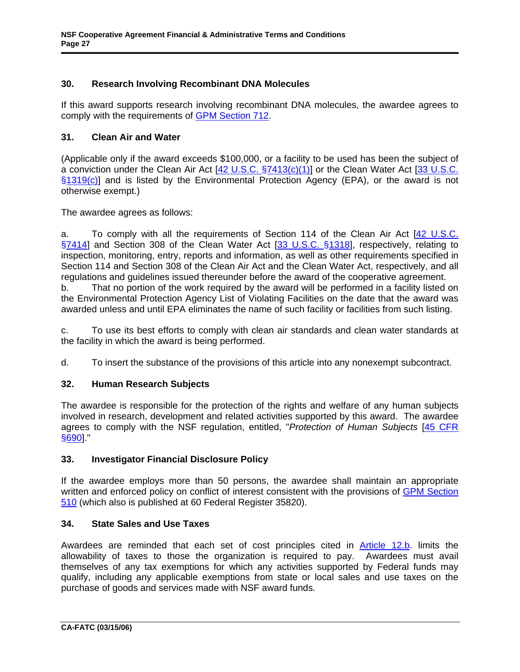# <span id="page-26-0"></span>**30. Research Involving Recombinant DNA Molecules**

If this award supports research involving recombinant DNA molecules, the awardee agrees to comply with the requirements of [GPM Section 712](http://www.nsf.gov/pubs/2002/nsf02151/gpm7.jsp#712).

#### **31. Clean Air and Water**

(Applicable only if the award exceeds \$100,000, or a facility to be used has been the subject of a conviction under the Clean Air Act [\[42 U.S.C. §7413\(c\)\(1\)\]](http://uscode.house.gov/download/pls/Title_42.tx) or the Clean Water Act [[33 U.S.C.](http://uscode.house.gov/download/pls/Title_33.txt) [§1319\(c\)\]](http://uscode.house.gov/download/pls/Title_33.txt) and is listed by the Environmental Protection Agency (EPA), or the award is not otherwise exempt.)

The awardee agrees as follows:

a. To comply with all the requirements of Section 114 of the Clean Air Act [[42 U.S.C.](http://uscode.house.gov/download/pls/Title_42.txt) [§7414](http://uscode.house.gov/download/pls/Title_42.txt)] and Section 308 of the Clean Water Act [\[33 U.S.C. §1318\]](http://uscode.house.gov/download/pls/Title_33.txt), respectively, relating to inspection, monitoring, entry, reports and information, as well as other requirements specified in Section 114 and Section 308 of the Clean Air Act and the Clean Water Act, respectively, and all regulations and guidelines issued thereunder before the award of the cooperative agreement.

b. That no portion of the work required by the award will be performed in a facility listed on the Environmental Protection Agency List of Violating Facilities on the date that the award was awarded unless and until EPA eliminates the name of such facility or facilities from such listing.

c. To use its best efforts to comply with clean air standards and clean water standards at the facility in which the award is being performed.

d. To insert the substance of the provisions of this article into any nonexempt subcontract.

### **32. Human Research Subjects**

The awardee is responsible for the protection of the rights and welfare of any human subjects involved in research, development and related activities supported by this award. The awardee agrees to comply with the NSF regulation, entitled, "*Protection of Human Subjects* [\[45 CFR](http://www.access.gpo.gov/nara/cfr/waisidx_04/45cfr690_04.html)  [§690\].](http://www.access.gpo.gov/nara/cfr/waisidx_04/45cfr690_04.html)"

### **33. Investigator Financial Disclosure Policy**

If the awardee employs more than 50 persons, the awardee shall maintain an appropriate written and enforced policy on conflict of interest consistent with the provisions of [GPM Section](http://www.nsf.gov/pubs/2002/nsf02151/gpm5.jsp#510) [510 \(](http://www.access.gpo.gov/nara/cfr/waisidx_05/2http://www.nsf.gov/pubs/2002/nsf02151/gpm5.jsp#510cfr215_05.html)which also is published at 60 Federal Register 35820).

### **34. State Sales and Use Taxes**

Awardees are reminded that each set of cost principles cited in **[Article 12.b](#page-10-1).** limits the allowability of taxes to those the organization is required to pay. Awardees must avail themselves of any tax exemptions for which any activities supported by Federal funds may qualify, including any applicable exemptions from state or local sales and use taxes on the purchase of goods and services made with NSF award funds.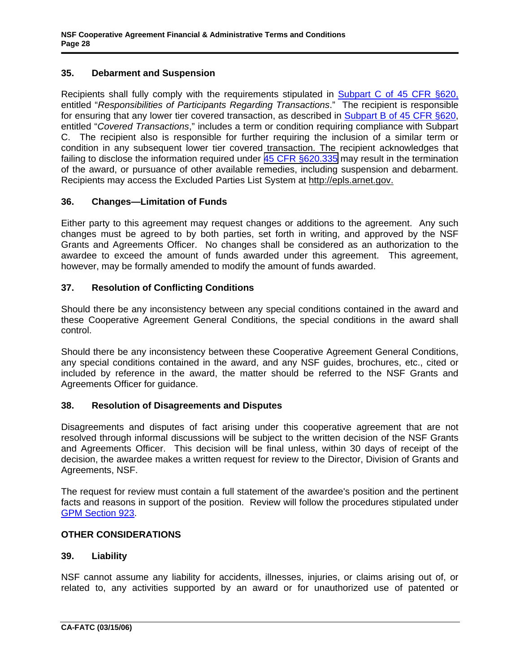### <span id="page-27-0"></span>**35. Debarment and Suspension**

Recipients shall fully comply with the requirements stipulated in [Subpart C of 45 CFR §620,](http://www.access.gpo.gov/nara/cfr/waisidx_04/45cfr620_04.html) entitled "*Responsibilities of Participants Regarding Transactions*." The recipient is responsible for ensuring that any lower tier covered transaction, as described in [Subpart B of 45 CFR §620,](http://www.access.gpo.gov/nara/cfr/waisidx_04/45cfr620_04.html) entitled "*Covered Transactions*," includes a term or condition requiring compliance with Subpart C. The recipient also is responsible for further requiring the inclusion of a similar term or condition in any subsequent lower tier covered transaction. The recipient acknowledges that failing to disclose the information required under [45 CFR §620.335](http://www.access.gpo.gov/nara/cfr/waisidx_04/45cfr620_04.html) may result in the termination of the award, or pursuance of other available remedies, including suspension and debarment. Recipients may access the Excluded Parties List System at [http://epls.arnet.gov.](http://epls.arnet.gov)

#### **36. Changes—Limitation of Funds**

Either party to this agreement may request changes or additions to the agreement. Any such changes must be agreed to by both parties, set forth in writing, and approved by the NSF Grants and Agreements Officer. No changes shall be considered as an authorization to the awardee to exceed the amount of funds awarded under this agreement. This agreement, however, may be formally amended to modify the amount of funds awarded.

#### **37. Resolution of Conflicting Conditions**

Should there be any inconsistency between any special conditions contained in the award and these Cooperative Agreement General Conditions, the special conditions in the award shall control.

Should there be any inconsistency between these Cooperative Agreement General Conditions, any special conditions contained in the award, and any NSF guides, brochures, etc., cited or included by reference in the award, the matter should be referred to the NSF Grants and Agreements Officer for guidance.

#### **38. Resolution of Disagreements and Disputes**

Disagreements and disputes of fact arising under this cooperative agreement that are not resolved through informal discussions will be subject to the written decision of the NSF Grants and Agreements Officer. This decision will be final unless, within 30 days of receipt of the decision, the awardee makes a written request for review to the Director, Division of Grants and Agreements, NSF.

The request for review must contain a full statement of the awardee's position and the pertinent facts and reasons in support of the position. Review will follow the procedures stipulated under [GPM Section 923](http://www.nsf.gov/pubs/2002/nsf02151/gpm9.jsp#923).

#### **OTHER CONSIDERATIONS**

#### **39. Liability**

NSF cannot assume any liability for accidents, illnesses, injuries, or claims arising out of, or related to, any activities supported by an award or for unauthorized use of patented or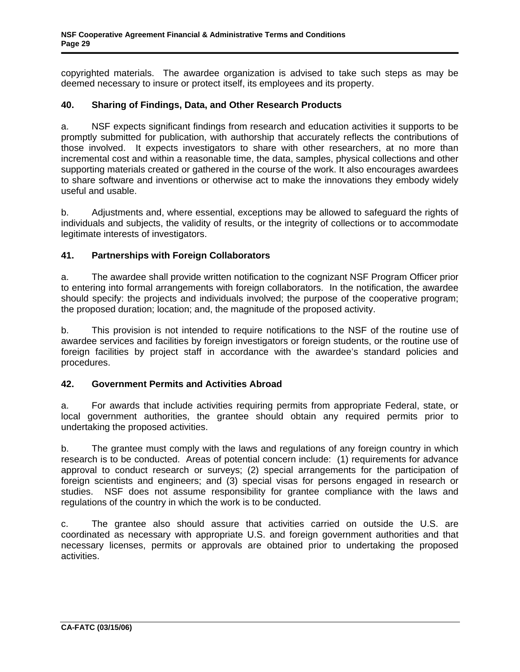<span id="page-28-0"></span>copyrighted materials. The awardee organization is advised to take such steps as may be deemed necessary to insure or protect itself, its employees and its property.

### **40. Sharing of Findings, Data, and Other Research Products**

a. NSF expects significant findings from research and education activities it supports to be promptly submitted for publication, with authorship that accurately reflects the contributions of those involved. It expects investigators to share with other researchers, at no more than incremental cost and within a reasonable time, the data, samples, physical collections and other supporting materials created or gathered in the course of the work. It also encourages awardees to share software and inventions or otherwise act to make the innovations they embody widely useful and usable.

b. Adjustments and, where essential, exceptions may be allowed to safeguard the rights of individuals and subjects, the validity of results, or the integrity of collections or to accommodate legitimate interests of investigators.

#### **41. Partnerships with Foreign Collaborators**

a. The awardee shall provide written notification to the cognizant NSF Program Officer prior to entering into formal arrangements with foreign collaborators. In the notification, the awardee should specify: the projects and individuals involved; the purpose of the cooperative program; the proposed duration; location; and, the magnitude of the proposed activity.

b. This provision is not intended to require notifications to the NSF of the routine use of awardee services and facilities by foreign investigators or foreign students, or the routine use of foreign facilities by project staff in accordance with the awardee's standard policies and procedures.

#### **42. Government Permits and Activities Abroad**

a. For awards that include activities requiring permits from appropriate Federal, state, or local government authorities, the grantee should obtain any required permits prior to undertaking the proposed activities.

b. The grantee must comply with the laws and regulations of any foreign country in which research is to be conducted. Areas of potential concern include: (1) requirements for advance approval to conduct research or surveys; (2) special arrangements for the participation of foreign scientists and engineers; and (3) special visas for persons engaged in research or studies. NSF does not assume responsibility for grantee compliance with the laws and regulations of the country in which the work is to be conducted.

c. The grantee also should assure that activities carried on outside the U.S. are coordinated as necessary with appropriate U.S. and foreign government authorities and that necessary licenses, permits or approvals are obtained prior to undertaking the proposed activities.